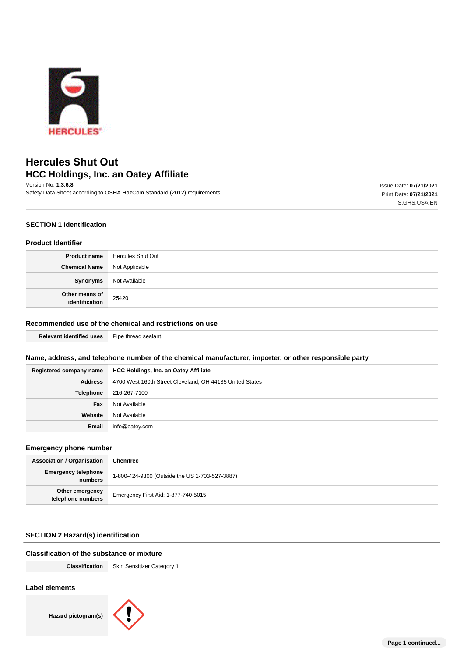

# **Hercules Shut Out HCC Holdings, Inc. an Oatey Affiliate**

Version No: **1.3.6.8** Safety Data Sheet according to OSHA HazCom Standard (2012) requirements Issue Date: **07/21/2021** Print Date: **07/21/2021** S.GHS.USA.EN

### **SECTION 1 Identification**

#### **Product Identifier**

| <b>Product name</b>              | Hercules Shut Out |
|----------------------------------|-------------------|
| <b>Chemical Name</b>             | Not Applicable    |
| Synonyms                         | Not Available     |
| Other means of<br>identification | 25420             |

# **Recommended use of the chemical and restrictions on use**

| 1606<br>anez | $\sim$<br>Pine<br>sealant.<br>-mrea |
|--------------|-------------------------------------|
|--------------|-------------------------------------|

#### **Name, address, and telephone number of the chemical manufacturer, importer, or other responsible party**

| Registered company name | <b>HCC Holdings, Inc. an Oatey Affiliate</b>             |
|-------------------------|----------------------------------------------------------|
| <b>Address</b>          | 4700 West 160th Street Cleveland, OH 44135 United States |
| Telephone               | 216-267-7100                                             |
| Fax                     | Not Available                                            |
| Website                 | Not Available                                            |
| Email                   | info@oatey.com                                           |

#### **Emergency phone number**

| <b>Association / Organisation</b>     | <b>Chemtrec</b>                                |  |
|---------------------------------------|------------------------------------------------|--|
| <b>Emergency telephone</b><br>numbers | 1-800-424-9300 (Outside the US 1-703-527-3887) |  |
| Other emergency<br>telephone numbers  | Emergency First Aid: 1-877-740-5015            |  |

# **SECTION 2 Hazard(s) identification**

# **Classification of the substance or mixture**

| <b>Classification</b>   Skin Sensitizer Category 1 |
|----------------------------------------------------|
|                                                    |

#### **Label elements**

**Hazard pictogram(s)**

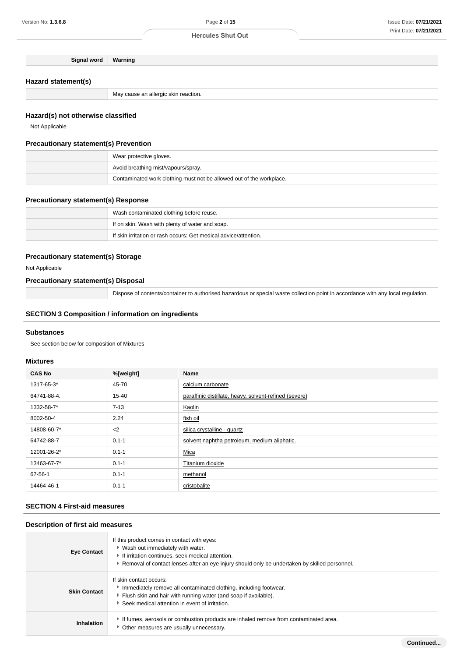| Signal word | Warning |
|-------------|---------|
|-------------|---------|

# **Hazard statement(s)**

May cause an allergic skin reaction.

#### **Hazard(s) not otherwise classified**

Not Applicable

#### **Precautionary statement(s) Prevention**

| Wear protective gloves.                                              |
|----------------------------------------------------------------------|
| Avoid breathing mist/vapours/spray.                                  |
| Contaminated work clothing must not be allowed out of the workplace. |

#### **Precautionary statement(s) Response**

| Wash contaminated clothing before reuse.                         |
|------------------------------------------------------------------|
| If on skin: Wash with plenty of water and soap.                  |
| If skin irritation or rash occurs: Get medical advice/attention. |

#### **Precautionary statement(s) Storage**

Not Applicable

### **Precautionary statement(s) Disposal**

Dispose of contents/container to authorised hazardous or special waste collection point in accordance with any local regulation.

#### **SECTION 3 Composition / information on ingredients**

#### **Substances**

See section below for composition of Mixtures

#### **Mixtures**

| <b>CAS No</b> | %[weight] | Name                                                   |
|---------------|-----------|--------------------------------------------------------|
| 1317-65-3*    | 45-70     | calcium carbonate                                      |
| 64741-88-4.   | $15 - 40$ | paraffinic distillate, heavy, solvent-refined (severe) |
| 1332-58-7*    | $7 - 13$  | Kaolin                                                 |
| 8002-50-4     | 2.24      | fish oil                                               |
| 14808-60-7*   | $2$       | silica crystalline - quartz                            |
| 64742-88-7    | $0.1 - 1$ | solvent naphtha petroleum, medium aliphatic.           |
| 12001-26-2*   | $0.1 - 1$ | Mica                                                   |
| 13463-67-7*   | $0.1 - 1$ | Titanium dioxide                                       |
| 67-56-1       | $0.1 - 1$ | methanol                                               |
| 14464-46-1    | $0.1 - 1$ | cristobalite                                           |

#### **SECTION 4 First-aid measures**

#### **Description of first aid measures**

| <b>Eye Contact</b>  | If this product comes in contact with eyes:<br>▶ Wash out immediately with water.<br>If irritation continues, seek medical attention.<br>▶ Removal of contact lenses after an eye injury should only be undertaken by skilled personnel. |
|---------------------|------------------------------------------------------------------------------------------------------------------------------------------------------------------------------------------------------------------------------------------|
| <b>Skin Contact</b> | If skin contact occurs:<br>Immediately remove all contaminated clothing, including footwear.<br>Flush skin and hair with running water (and soap if available).<br>▶ Seek medical attention in event of irritation.                      |
| <b>Inhalation</b>   | If fumes, aerosols or combustion products are inhaled remove from contaminated area.<br>* Other measures are usually unnecessary.                                                                                                        |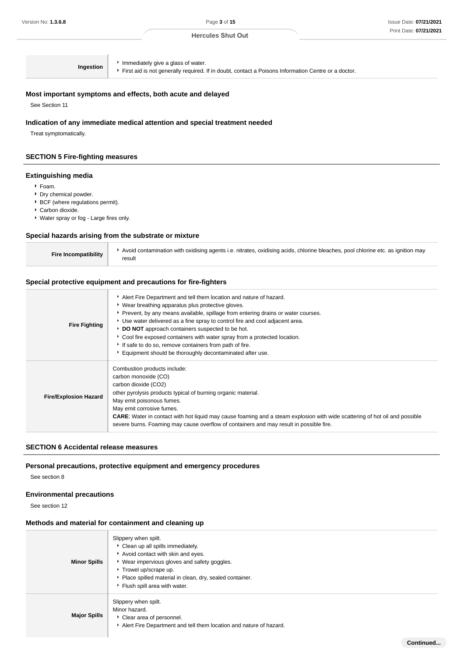**Continued...**

#### **Hercules Shut Out**

**Ingestion I** Immediately give a glass of water.

First aid is not generally required. If in doubt, contact a Poisons Information Centre or a doctor.

#### **Most important symptoms and effects, both acute and delayed**

See Section 11

#### **Indication of any immediate medical attention and special treatment needed**

Treat symptomatically.

#### **SECTION 5 Fire-fighting measures**

#### **Extinguishing media**

- Foam.
- Dry chemical powder.
- **BCF** (where regulations permit).
- Carbon dioxide.
- Water spray or fog Large fires only.

#### **Special hazards arising from the substrate or mixture**

| <b>Fire Incompatibility</b> | Avoid contamination with oxidising agents i.e. nitrates, oxidising acids, chlorine bleaches, pool chlorine etc. as ignition may |
|-----------------------------|---------------------------------------------------------------------------------------------------------------------------------|
|                             | result                                                                                                                          |

#### **Special protective equipment and precautions for fire-fighters**

| <b>Fire Fighting</b>         | Alert Fire Department and tell them location and nature of hazard.<br>• Wear breathing apparatus plus protective gloves.<br>▶ Prevent, by any means available, spillage from entering drains or water courses.<br>Use water delivered as a fine spray to control fire and cool adjacent area.<br>DO NOT approach containers suspected to be hot.<br>Cool fire exposed containers with water spray from a protected location.<br>If safe to do so, remove containers from path of fire.<br>Equipment should be thoroughly decontaminated after use. |
|------------------------------|----------------------------------------------------------------------------------------------------------------------------------------------------------------------------------------------------------------------------------------------------------------------------------------------------------------------------------------------------------------------------------------------------------------------------------------------------------------------------------------------------------------------------------------------------|
| <b>Fire/Explosion Hazard</b> | Combustion products include:<br>carbon monoxide (CO)<br>carbon dioxide (CO2)<br>other pyrolysis products typical of burning organic material.<br>May emit poisonous fumes.<br>May emit corrosive fumes.<br><b>CARE:</b> Water in contact with hot liquid may cause foaming and a steam explosion with wide scattering of hot oil and possible<br>severe burns. Foaming may cause overflow of containers and may result in possible fire.                                                                                                           |

#### **SECTION 6 Accidental release measures**

#### **Personal precautions, protective equipment and emergency procedures**

See section 8

#### **Environmental precautions**

See section 12

#### **Methods and material for containment and cleaning up**

| <b>Minor Spills</b> | Slippery when spilt.<br>Clean up all spills immediately.<br>Avoid contact with skin and eyes.<br>▶ Wear impervious gloves and safety goggles.<br>Trowel up/scrape up.<br>Place spilled material in clean, dry, sealed container.<br>Flush spill area with water. |
|---------------------|------------------------------------------------------------------------------------------------------------------------------------------------------------------------------------------------------------------------------------------------------------------|
| <b>Major Spills</b> | Slippery when spilt.<br>Minor hazard.<br>Clear area of personnel.<br>Alert Fire Department and tell them location and nature of hazard.                                                                                                                          |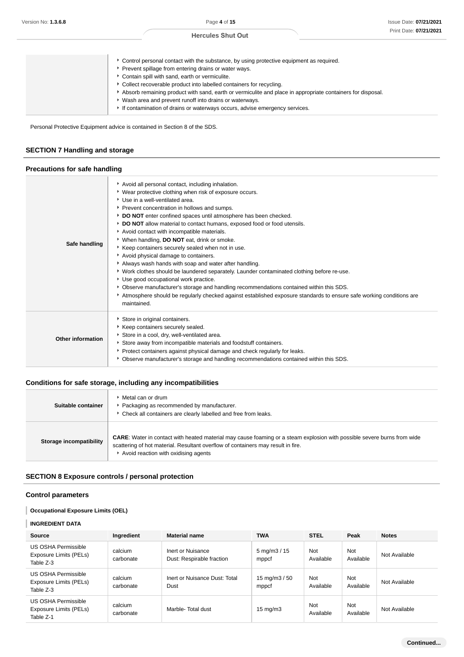| ► Control personal contact with the substance, by using protective equipment as required.                  |
|------------------------------------------------------------------------------------------------------------|
| Prevent spillage from entering drains or water ways.                                                       |
| Contain spill with sand, earth or vermiculite.                                                             |
| • Collect recoverable product into labelled containers for recycling.                                      |
| Absorb remaining product with sand, earth or vermiculite and place in appropriate containers for disposal. |
| * Wash area and prevent runoff into drains or waterways.                                                   |
| If contamination of drains or waterways occurs, advise emergency services.                                 |
|                                                                                                            |

Personal Protective Equipment advice is contained in Section 8 of the SDS.

# **SECTION 7 Handling and storage**

#### **Precautions for safe handling**

| Safe handling     | Avoid all personal contact, including inhalation.<br>▶ Wear protective clothing when risk of exposure occurs.<br>Use in a well-ventilated area.<br>Prevent concentration in hollows and sumps.<br>DO NOT enter confined spaces until atmosphere has been checked.<br>DO NOT allow material to contact humans, exposed food or food utensils.<br>Avoid contact with incompatible materials.<br>▶ When handling, DO NOT eat, drink or smoke.<br>Keep containers securely sealed when not in use.<br>Avoid physical damage to containers.<br>Always wash hands with soap and water after handling.<br>• Work clothes should be laundered separately. Launder contaminated clothing before re-use.<br>Use good occupational work practice.<br>Observe manufacturer's storage and handling recommendations contained within this SDS.<br>Atmosphere should be regularly checked against established exposure standards to ensure safe working conditions are<br>maintained. |
|-------------------|------------------------------------------------------------------------------------------------------------------------------------------------------------------------------------------------------------------------------------------------------------------------------------------------------------------------------------------------------------------------------------------------------------------------------------------------------------------------------------------------------------------------------------------------------------------------------------------------------------------------------------------------------------------------------------------------------------------------------------------------------------------------------------------------------------------------------------------------------------------------------------------------------------------------------------------------------------------------|
| Other information | Store in original containers.<br>Keep containers securely sealed.<br>Store in a cool, dry, well-ventilated area.<br>Store away from incompatible materials and foodstuff containers.<br>Protect containers against physical damage and check regularly for leaks.<br>• Observe manufacturer's storage and handling recommendations contained within this SDS.                                                                                                                                                                                                                                                                                                                                                                                                                                                                                                                                                                                                          |

# **Conditions for safe storage, including any incompatibilities**

| Suitable container      | ▶ Metal can or drum<br>Packaging as recommended by manufacturer.<br>* Check all containers are clearly labelled and free from leaks.                                                                                                                       |
|-------------------------|------------------------------------------------------------------------------------------------------------------------------------------------------------------------------------------------------------------------------------------------------------|
| Storage incompatibility | <b>CARE:</b> Water in contact with heated material may cause foaming or a steam explosion with possible severe burns from wide<br>scattering of hot material. Resultant overflow of containers may result in fire.<br>Avoid reaction with oxidising agents |

# **SECTION 8 Exposure controls / personal protection**

#### **Control parameters**

## **Occupational Exposure Limits (OEL)**

#### **INGREDIENT DATA**

| Source                                                            | Ingredient           | <b>Material name</b>                           | <b>TWA</b>                            | <b>STEL</b>             | Peak                    | <b>Notes</b>  |
|-------------------------------------------------------------------|----------------------|------------------------------------------------|---------------------------------------|-------------------------|-------------------------|---------------|
| <b>US OSHA Permissible</b><br>Exposure Limits (PELs)<br>Table Z-3 | calcium<br>carbonate | Inert or Nuisance<br>Dust: Respirable fraction | $5 \,\mathrm{mq/m}$ $3 / 15$<br>mppcf | Not<br>Available        | <b>Not</b><br>Available | Not Available |
| <b>US OSHA Permissible</b><br>Exposure Limits (PELs)<br>Table Z-3 | calcium<br>carbonate | Inert or Nuisance Dust: Total<br>Dust          | 15 mg/m $3/50$<br>mppcf               | Not<br>Available        | <b>Not</b><br>Available | Not Available |
| <b>US OSHA Permissible</b><br>Exposure Limits (PELs)<br>Table Z-1 | calcium<br>carbonate | Marble-Total dust                              | $15 \text{ mg/m}$                     | <b>Not</b><br>Available | <b>Not</b><br>Available | Not Available |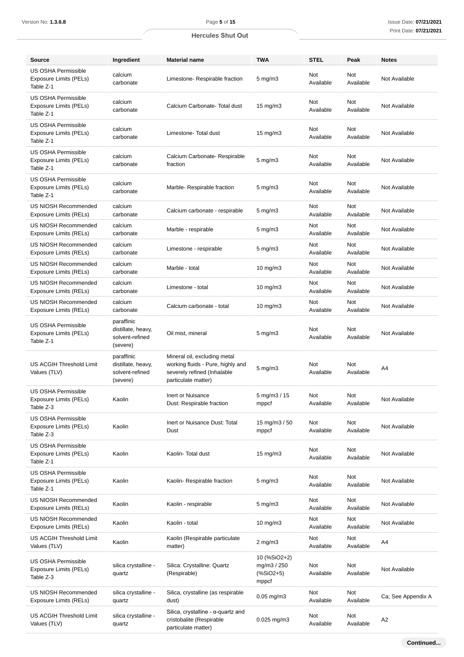| <b>Hercules Shut Out</b> |  |  |
|--------------------------|--|--|
|--------------------------|--|--|

| <b>Source</b>                                                            | Ingredient                                                      | <b>Material name</b><br><b>TWA</b><br><b>STEL</b>                                                                       |                                                                 |                         | Peak                    | <b>Notes</b>       |
|--------------------------------------------------------------------------|-----------------------------------------------------------------|-------------------------------------------------------------------------------------------------------------------------|-----------------------------------------------------------------|-------------------------|-------------------------|--------------------|
| <b>US OSHA Permissible</b><br>Exposure Limits (PELs)<br>Table Z-1        | calcium<br>carbonate                                            | Limestone- Respirable fraction                                                                                          | $5 \text{ mg/m}$                                                | Not<br>Available        | <b>Not</b><br>Available | Not Available      |
| <b>US OSHA Permissible</b><br>Exposure Limits (PELs)<br>Table Z-1        | calcium<br>carbonate                                            | <b>Not</b><br>Not<br>Calcium Carbonate- Total dust<br>$15 \text{ mg/m}$<br>Available<br>Available                       |                                                                 | Not Available           |                         |                    |
| <b>US OSHA Permissible</b><br><b>Exposure Limits (PELs)</b><br>Table Z-1 | calcium<br>carbonate                                            | Not<br>Not<br>Limestone-Total dust<br>$15 \text{ mg/m}$<br>Available                                                    |                                                                 | Available               | Not Available           |                    |
| <b>US OSHA Permissible</b><br><b>Exposure Limits (PELs)</b><br>Table Z-1 | calcium<br>carbonate                                            | Calcium Carbonate- Respirable<br>Not<br>Not<br>$5 \text{ mg/m}$<br>Available<br>fraction                                |                                                                 | Available               | Not Available           |                    |
| <b>US OSHA Permissible</b><br>Exposure Limits (PELs)<br>Table Z-1        | calcium<br>carbonate                                            | Marble- Respirable fraction                                                                                             | $5 \text{ mg/m}$                                                | Not<br>Available        | Not<br>Available        | Not Available      |
| US NIOSH Recommended<br>Exposure Limits (RELs)                           | calcium<br>carbonate                                            | Calcium carbonate - respirable                                                                                          | $5 \text{ mg/m}$                                                | Not<br>Available        | Not<br>Available        | Not Available      |
| US NIOSH Recommended<br>Exposure Limits (RELs)                           | calcium<br>carbonate                                            | Marble - respirable                                                                                                     | $5 \text{ mg/m}$                                                | Not<br>Available        | Not<br>Available        | Not Available      |
| US NIOSH Recommended<br>Exposure Limits (RELs)                           | calcium<br>carbonate                                            | Limestone - respirable                                                                                                  | $5 \text{ mg/m}$                                                | <b>Not</b><br>Available | Not<br>Available        | Not Available      |
| US NIOSH Recommended<br>Exposure Limits (RELs)                           | calcium<br>carbonate                                            | Marble - total                                                                                                          | $10$ mg/m $3$                                                   | Not<br>Available        | Not<br>Available        | Not Available      |
| US NIOSH Recommended<br>Exposure Limits (RELs)                           | calcium<br>carbonate                                            | Limestone - total                                                                                                       | $10 \text{ mg/m}$                                               | <b>Not</b><br>Available | Not<br>Available        | Not Available      |
| US NIOSH Recommended<br>Exposure Limits (RELs)                           | calcium<br>carbonate                                            | <b>Not</b><br>Not<br>Calcium carbonate - total<br>$10 \text{ mg/m}$<br>Available                                        |                                                                 | Available               | Not Available           |                    |
| <b>US OSHA Permissible</b><br><b>Exposure Limits (PELs)</b><br>Table Z-1 | paraffinic<br>distillate, heavy,<br>solvent-refined<br>(severe) | Oil mist, mineral                                                                                                       | Not<br>$5 \text{ mg/m}$<br>Available                            |                         | Not<br>Available        | Not Available      |
| <b>US ACGIH Threshold Limit</b><br>Values (TLV)                          | paraffinic<br>distillate, heavy,<br>solvent-refined<br>(severe) | Mineral oil, excluding metal<br>working fluids - Pure, highly and<br>severely refined (Inhalable<br>particulate matter) | $5 \text{ mg/m}$ 3                                              | Not<br>Available        | Not<br>Available        | A4                 |
| <b>US OSHA Permissible</b><br><b>Exposure Limits (PELs)</b><br>Table Z-3 | Kaolin                                                          | Inert or Nuisance<br>$5 \,\mathrm{mg/m}$ $3 / 15$<br>Not<br>Not<br>Dust: Respirable fraction<br>mppcf<br>Available      |                                                                 | Available               | Not Available           |                    |
| <b>US OSHA Permissible</b><br><b>Exposure Limits (PELs)</b><br>Table Z-3 | Kaolin                                                          | Inert or Nuisance Dust: Total<br>15 mg/m $3/50$<br>Not<br>Not<br>Available<br>Available<br>Dust<br>mppcf                |                                                                 |                         | Not Available           |                    |
| <b>US OSHA Permissible</b><br>Exposure Limits (PELs)<br>Table Z-1        | Kaolin                                                          | Kaolin-Total dust                                                                                                       | $15 \text{ mg/m}$                                               | Not<br>Available        | Not<br>Available        | Not Available      |
| <b>US OSHA Permissible</b><br><b>Exposure Limits (PELs)</b><br>Table Z-1 | Kaolin                                                          | Kaolin-Respirable fraction                                                                                              | $5 \text{ mg/m}$                                                | Not<br>Available        | Not<br>Available        | Not Available      |
| US NIOSH Recommended<br>Exposure Limits (RELs)                           | Kaolin                                                          | Kaolin - respirable                                                                                                     | $5 \text{ mg/m}$                                                | Not<br>Available        | Not<br>Available        | Not Available      |
| US NIOSH Recommended<br>Exposure Limits (RELs)                           | Kaolin                                                          | Kaolin - total                                                                                                          | $10$ mg/m $3$                                                   | Not<br>Available        | Not<br>Available        | Not Available      |
| US ACGIH Threshold Limit<br>Values (TLV)                                 | Kaolin                                                          | Kaolin (Respirable particulate<br>matter)                                                                               | $2$ mg/m $3$                                                    | Not<br>Available        | Not<br>Available        | A4                 |
| <b>US OSHA Permissible</b><br><b>Exposure Limits (PELs)</b><br>Table Z-3 | silica crystalline -<br>quartz                                  | Silica: Crystalline: Quartz<br>(Respirable)                                                                             | 10 (%SiO2+2)<br>mg/m3 / 250<br>$(% ^{*}{\sim}$ SiO2+5)<br>mppcf | Not<br>Available        | Not<br>Available        | Not Available      |
| <b>US NIOSH Recommended</b><br><b>Exposure Limits (RELs)</b>             | silica crystalline -<br>quartz                                  | Silica, crystalline (as respirable<br>dust)                                                                             | $0.05$ mg/m $3$                                                 | Not<br>Available        | Not<br>Available        | Ca; See Appendix A |
| US ACGIH Threshold Limit<br>Values (TLV)                                 | silica crystalline -<br>quartz                                  | Silica, crystalline - $\alpha$ -quartz and<br>cristobalite (Respirable<br>particulate matter)                           | $0.025$ mg/m $3$                                                | Not<br>Available        | Not<br>Available        | A2                 |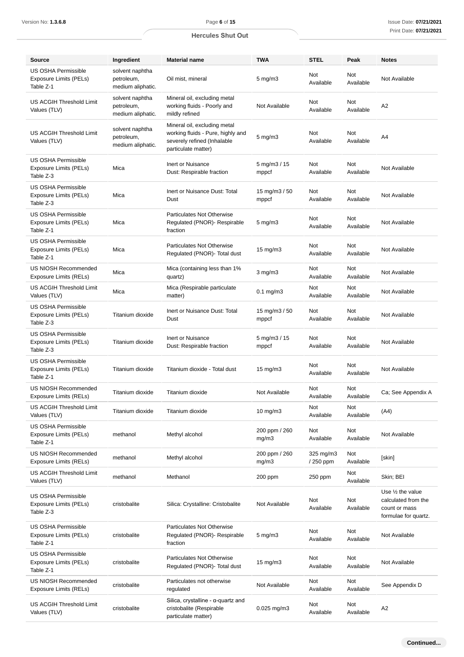| Version No: <b>1.3.6.8</b>                                        |                                                    | Page 6 of 15                                                                                                            |                                                    |                         |                  | Issue Date: 07/21/202                                                                       |  |
|-------------------------------------------------------------------|----------------------------------------------------|-------------------------------------------------------------------------------------------------------------------------|----------------------------------------------------|-------------------------|------------------|---------------------------------------------------------------------------------------------|--|
|                                                                   |                                                    | <b>Hercules Shut Out</b>                                                                                                |                                                    |                         |                  | Print Date: 07/21/202                                                                       |  |
|                                                                   |                                                    |                                                                                                                         |                                                    |                         |                  |                                                                                             |  |
| <b>Source</b>                                                     | Ingredient                                         | <b>Material name</b>                                                                                                    | <b>TWA</b>                                         | <b>STEL</b>             | Peak             | <b>Notes</b>                                                                                |  |
| <b>US OSHA Permissible</b><br>Exposure Limits (PELs)<br>Table Z-1 | solvent naphtha<br>petroleum,<br>medium aliphatic. | Oil mist, mineral                                                                                                       | $5 \text{ mg/m}$                                   | Not<br>Available        | Not<br>Available | Not Available                                                                               |  |
| <b>US ACGIH Threshold Limit</b><br>Values (TLV)                   | solvent naphtha<br>petroleum,<br>medium aliphatic. | Mineral oil, excluding metal<br>working fluids - Poorly and<br>mildly refined                                           | Not Available                                      | Not<br>Available        | Not<br>Available | A <sub>2</sub>                                                                              |  |
| US ACGIH Threshold Limit<br>Values (TLV)                          | solvent naphtha<br>petroleum,<br>medium aliphatic. | Mineral oil, excluding metal<br>working fluids - Pure, highly and<br>severely refined (Inhalable<br>particulate matter) | <b>Not</b><br>Not<br>$5 \text{ mg/m}$<br>Available |                         | Available        | A4                                                                                          |  |
| <b>US OSHA Permissible</b><br>Exposure Limits (PELs)<br>Table Z-3 | Mica                                               | Inert or Nuisance<br>Dust: Respirable fraction                                                                          | $5 \,\mathrm{mg/m}$ $3 / 15$<br>mppcf              | Not<br>Available        | Not<br>Available | Not Available                                                                               |  |
| <b>US OSHA Permissible</b><br>Exposure Limits (PELs)<br>Table Z-3 | Mica                                               | Inert or Nuisance Dust: Total<br>Dust                                                                                   | 15 mg/m3 / 50<br>mppcf                             | Not<br>Available        | Not<br>Available | Not Available                                                                               |  |
| <b>US OSHA Permissible</b><br>Exposure Limits (PELs)<br>Table Z-1 | Mica                                               | Particulates Not Otherwise<br>Regulated (PNOR)- Respirable<br>fraction                                                  | $5 \text{ mg/m}$                                   | Not<br>Available        | Not<br>Available | Not Available                                                                               |  |
| <b>US OSHA Permissible</b><br>Exposure Limits (PELs)<br>Table Z-1 | Mica                                               | Particulates Not Otherwise<br>Regulated (PNOR)- Total dust                                                              | $15 \text{ mg/m}$                                  | <b>Not</b><br>Available | Not<br>Available | Not Available                                                                               |  |
| US NIOSH Recommended<br>Exposure Limits (RELs)                    | Mica                                               | Mica (containing less than 1%<br>quartz)                                                                                | $3$ mg/m $3$                                       | <b>Not</b><br>Available | Not<br>Available | Not Available                                                                               |  |
| US ACGIH Threshold Limit<br>Values (TLV)                          | Mica                                               | Mica (Respirable particulate<br>matter)                                                                                 | $0.1$ mg/m $3$                                     | Not<br>Available        | Not<br>Available | Not Available                                                                               |  |
| <b>US OSHA Permissible</b><br>Exposure Limits (PELs)<br>Table Z-3 | Titanium dioxide                                   | Inert or Nuisance Dust: Total<br>Dust                                                                                   | 15 mg/m3 / 50<br>mppcf                             | Not<br>Available        | Not<br>Available | Not Available                                                                               |  |
| <b>US OSHA Permissible</b><br>Exposure Limits (PELs)<br>Table Z-3 | Titanium dioxide                                   | Inert or Nuisance<br>Dust: Respirable fraction                                                                          | $5 \,\mathrm{mg/m}$ $3 / 15$<br>mppcf              | Not<br>Available        | Not<br>Available | Not Available                                                                               |  |
| <b>US OSHA Permissible</b><br>Exposure Limits (PELs)<br>Table Z-1 | Titanium dioxide                                   | Titanium dioxide - Total dust                                                                                           | $15 \text{ mg/m}$                                  | Not<br>Available        | Not<br>Available | Not Available                                                                               |  |
| US NIOSH Recommended<br>Exposure Limits (RELs)                    | Titanium dioxide                                   | Titanium dioxide                                                                                                        | Not<br>Not<br>Not Available<br>Available           |                         | Available        | Ca; See Appendix A                                                                          |  |
| US ACGIH Threshold Limit<br>Values (TLV)                          | Titanium dioxide                                   | Titanium dioxide                                                                                                        | $10 \text{ mg/m}$                                  | Not<br>Available        | Not<br>Available | (A4)                                                                                        |  |
| <b>US OSHA Permissible</b><br>Exposure Limits (PELs)<br>Table Z-1 | methanol                                           | Methyl alcohol                                                                                                          | 200 ppm / 260<br>mg/m3                             | Not<br>Available        | Not<br>Available | Not Available                                                                               |  |
| <b>US NIOSH Recommended</b><br>Exposure Limits (RELs)             | methanol                                           | Methyl alcohol                                                                                                          | 200 ppm / 260<br>mg/m3                             | 325 mg/m3<br>/ 250 ppm  | Not<br>Available | [skin]                                                                                      |  |
| US ACGIH Threshold Limit<br>Values (TLV)                          | methanol                                           | Methanol                                                                                                                | 200 ppm                                            | 250 ppm                 | Not<br>Available | Skin; BEI                                                                                   |  |
| <b>US OSHA Permissible</b><br>Exposure Limits (PELs)<br>Table Z-3 | cristobalite                                       | Silica: Crystalline: Cristobalite                                                                                       | Not Available                                      | Not<br>Available        | Not<br>Available | Use $\frac{1}{2}$ the value<br>calculated from the<br>count or mass<br>formulae for quartz. |  |
| <b>US OSHA Permissible</b><br>Exposure Limits (PELs)<br>Table Z-1 | cristobalite                                       | Particulates Not Otherwise<br>Regulated (PNOR)- Respirable<br>fraction                                                  | $5 \text{ mg/m}$                                   | Not<br>Available        | Not<br>Available | Not Available                                                                               |  |
| US OSHA Permissible<br>Exposure Limits (PELs)<br>Table Z-1        | cristobalite                                       | Particulates Not Otherwise<br>Regulated (PNOR)- Total dust                                                              | $15 \text{ mg/m}$                                  | Not<br>Available        | Not<br>Available | Not Available                                                                               |  |
| <b>US NIOSH Recommended</b><br>Exposure Limits (RELs)             | cristobalite                                       | Particulates not otherwise<br>regulated                                                                                 | Not Available                                      | Not<br>Available        | Not<br>Available | See Appendix D                                                                              |  |
| US ACGIH Threshold Limit<br>Values (TLV)                          | cristobalite                                       | Silica, crystalline - $\alpha$ -quartz and<br>cristobalite (Respirable<br>particulate matter)                           | $0.025$ mg/m $3$                                   | Not<br>Available        | Not<br>Available | A2                                                                                          |  |
|                                                                   |                                                    |                                                                                                                         |                                                    |                         |                  |                                                                                             |  |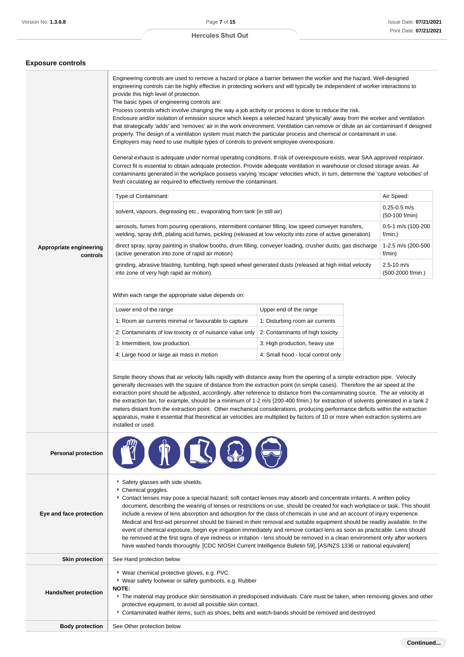#### **Exposure controls**

|                                     | Engineering controls are used to remove a hazard or place a barrier between the worker and the hazard. Well-designed<br>engineering controls can be highly effective in protecting workers and will typically be independent of worker interactions to<br>provide this high level of protection.                                                                                                                                                                                                                                                                                                                                                                                                                                                                                                                                                                                                                                                              |                                    |  |                                     |  |
|-------------------------------------|---------------------------------------------------------------------------------------------------------------------------------------------------------------------------------------------------------------------------------------------------------------------------------------------------------------------------------------------------------------------------------------------------------------------------------------------------------------------------------------------------------------------------------------------------------------------------------------------------------------------------------------------------------------------------------------------------------------------------------------------------------------------------------------------------------------------------------------------------------------------------------------------------------------------------------------------------------------|------------------------------------|--|-------------------------------------|--|
|                                     | The basic types of engineering controls are:<br>Process controls which involve changing the way a job activity or process is done to reduce the risk.<br>Enclosure and/or isolation of emission source which keeps a selected hazard 'physically' away from the worker and ventilation<br>that strategically 'adds' and 'removes' air in the work environment. Ventilation can remove or dilute an air contaminant if designed<br>properly. The design of a ventilation system must match the particular process and chemical or contaminant in use.<br>Employers may need to use multiple types of controls to prevent employee overexposure.                                                                                                                                                                                                                                                                                                                |                                    |  |                                     |  |
|                                     | General exhaust is adequate under normal operating conditions. If risk of overexposure exists, wear SAA approved respirator.<br>Correct fit is essential to obtain adequate protection. Provide adequate ventilation in warehouse or closed storage areas. Air<br>contaminants generated in the workplace possess varying 'escape' velocities which, in turn, determine the 'capture velocities' of<br>fresh circulating air required to effectively remove the contaminant.                                                                                                                                                                                                                                                                                                                                                                                                                                                                                  |                                    |  |                                     |  |
|                                     | Type of Contaminant:                                                                                                                                                                                                                                                                                                                                                                                                                                                                                                                                                                                                                                                                                                                                                                                                                                                                                                                                          |                                    |  | Air Speed:                          |  |
|                                     | solvent, vapours, degreasing etc., evaporating from tank (in still air)                                                                                                                                                                                                                                                                                                                                                                                                                                                                                                                                                                                                                                                                                                                                                                                                                                                                                       |                                    |  | $0.25 - 0.5$ m/s<br>(50-100 f/min)  |  |
|                                     | aerosols, fumes from pouring operations, intermittent container filling, low speed conveyer transfers,<br>welding, spray drift, plating acid fumes, pickling (released at low velocity into zone of active generation)                                                                                                                                                                                                                                                                                                                                                                                                                                                                                                                                                                                                                                                                                                                                        |                                    |  | 0.5-1 m/s (100-200<br>f/min.)       |  |
| Appropriate engineering<br>controls | direct spray, spray painting in shallow booths, drum filling, conveyer loading, crusher dusts, gas discharge<br>(active generation into zone of rapid air motion)                                                                                                                                                                                                                                                                                                                                                                                                                                                                                                                                                                                                                                                                                                                                                                                             |                                    |  | 1-2.5 m/s (200-500<br>f/min)        |  |
|                                     | grinding, abrasive blasting, tumbling, high speed wheel generated dusts (released at high initial velocity<br>into zone of very high rapid air motion).                                                                                                                                                                                                                                                                                                                                                                                                                                                                                                                                                                                                                                                                                                                                                                                                       |                                    |  | $2.5 - 10$ m/s<br>(500-2000 f/min.) |  |
|                                     | Within each range the appropriate value depends on:                                                                                                                                                                                                                                                                                                                                                                                                                                                                                                                                                                                                                                                                                                                                                                                                                                                                                                           |                                    |  |                                     |  |
|                                     | Lower end of the range                                                                                                                                                                                                                                                                                                                                                                                                                                                                                                                                                                                                                                                                                                                                                                                                                                                                                                                                        | Upper end of the range             |  |                                     |  |
|                                     | 1: Room air currents minimal or favourable to capture<br>1: Disturbing room air currents                                                                                                                                                                                                                                                                                                                                                                                                                                                                                                                                                                                                                                                                                                                                                                                                                                                                      |                                    |  |                                     |  |
|                                     | 2: Contaminants of low toxicity or of nuisance value only<br>2: Contaminants of high toxicity                                                                                                                                                                                                                                                                                                                                                                                                                                                                                                                                                                                                                                                                                                                                                                                                                                                                 |                                    |  |                                     |  |
|                                     | 3: Intermittent, low production.<br>3: High production, heavy use                                                                                                                                                                                                                                                                                                                                                                                                                                                                                                                                                                                                                                                                                                                                                                                                                                                                                             |                                    |  |                                     |  |
|                                     | 4: Large hood or large air mass in motion                                                                                                                                                                                                                                                                                                                                                                                                                                                                                                                                                                                                                                                                                                                                                                                                                                                                                                                     | 4: Small hood - local control only |  |                                     |  |
|                                     | Simple theory shows that air velocity falls rapidly with distance away from the opening of a simple extraction pipe. Velocity<br>generally decreases with the square of distance from the extraction point (in simple cases). Therefore the air speed at the<br>extraction point should be adjusted, accordingly, after reference to distance from the contaminating source. The air velocity at<br>the extraction fan, for example, should be a minimum of 1-2 m/s (200-400 f/min.) for extraction of solvents generated in a tank 2<br>meters distant from the extraction point. Other mechanical considerations, producing performance deficits within the extraction<br>apparatus, make it essential that theoretical air velocities are multiplied by factors of 10 or more when extraction systems are<br>installed or used.                                                                                                                            |                                    |  |                                     |  |
| <b>Personal protection</b>          | $\overline{\mathcal{L}}$                                                                                                                                                                                                                                                                                                                                                                                                                                                                                                                                                                                                                                                                                                                                                                                                                                                                                                                                      |                                    |  |                                     |  |
| Eye and face protection             | Safety glasses with side shields.<br>Chemical goggles.<br>Contact lenses may pose a special hazard; soft contact lenses may absorb and concentrate irritants. A written policy<br>document, describing the wearing of lenses or restrictions on use, should be created for each workplace or task. This should<br>include a review of lens absorption and adsorption for the class of chemicals in use and an account of injury experience.<br>Medical and first-aid personnel should be trained in their removal and suitable equipment should be readily available. In the<br>event of chemical exposure, begin eye irrigation immediately and remove contact lens as soon as practicable. Lens should<br>be removed at the first signs of eye redness or irritation - lens should be removed in a clean environment only after workers<br>have washed hands thoroughly. [CDC NIOSH Current Intelligence Bulletin 59], [AS/NZS 1336 or national equivalent] |                                    |  |                                     |  |
| <b>Skin protection</b>              | See Hand protection below                                                                                                                                                                                                                                                                                                                                                                                                                                                                                                                                                                                                                                                                                                                                                                                                                                                                                                                                     |                                    |  |                                     |  |
| <b>Hands/feet protection</b>        | ▶ Wear chemical protective gloves, e.g. PVC.<br>▶ Wear safety footwear or safety gumboots, e.g. Rubber<br>NOTE:<br>The material may produce skin sensitisation in predisposed individuals. Care must be taken, when removing gloves and other<br>protective equipment, to avoid all possible skin contact.<br>Contaminated leather items, such as shoes, belts and watch-bands should be removed and destroyed.                                                                                                                                                                                                                                                                                                                                                                                                                                                                                                                                               |                                    |  |                                     |  |
| <b>Body protection</b>              | See Other protection below                                                                                                                                                                                                                                                                                                                                                                                                                                                                                                                                                                                                                                                                                                                                                                                                                                                                                                                                    |                                    |  |                                     |  |
|                                     |                                                                                                                                                                                                                                                                                                                                                                                                                                                                                                                                                                                                                                                                                                                                                                                                                                                                                                                                                               |                                    |  |                                     |  |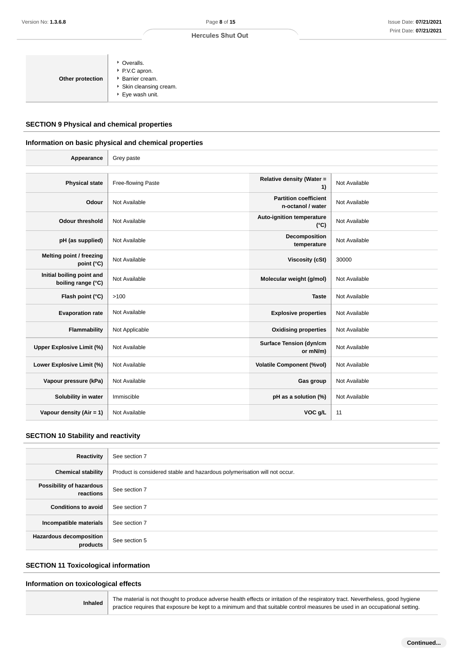| • Overalls.<br>▶ P.V.C apron.<br>Barrier cream.<br>Other protection<br>▶ Skin cleansing cream.<br>▶ Eye wash unit. |
|--------------------------------------------------------------------------------------------------------------------|
|--------------------------------------------------------------------------------------------------------------------|

#### **SECTION 9 Physical and chemical properties**

#### **Information on basic physical and chemical properties**

| Version No: <b>1.3.6.8</b>                                            |                                                                                            | Page 8 of 15                                                                                                                                                                                                                                                    | Issue Date: 07/21/202 |
|-----------------------------------------------------------------------|--------------------------------------------------------------------------------------------|-----------------------------------------------------------------------------------------------------------------------------------------------------------------------------------------------------------------------------------------------------------------|-----------------------|
|                                                                       |                                                                                            | <b>Hercules Shut Out</b>                                                                                                                                                                                                                                        | Print Date: 07/21/20: |
| Other protection<br><b>SECTION 9 Physical and chemical properties</b> | • Overalls.<br>P.V.C apron.<br>Barrier cream.<br>Skin cleansing cream.<br>▶ Eye wash unit. |                                                                                                                                                                                                                                                                 |                       |
|                                                                       | Information on basic physical and chemical properties                                      |                                                                                                                                                                                                                                                                 |                       |
| Appearance                                                            | Grey paste                                                                                 |                                                                                                                                                                                                                                                                 |                       |
| <b>Physical state</b>                                                 | Free-flowing Paste                                                                         | Relative density (Water =<br>1)                                                                                                                                                                                                                                 | Not Available         |
| Odour                                                                 | Not Available                                                                              | <b>Partition coefficient</b><br>n-octanol / water                                                                                                                                                                                                               | Not Available         |
| <b>Odour threshold</b>                                                | Not Available                                                                              | <b>Auto-ignition temperature</b><br>$(^{\circ}C)$                                                                                                                                                                                                               | Not Available         |
| pH (as supplied)                                                      | Not Available                                                                              | Decomposition<br>temperature                                                                                                                                                                                                                                    | Not Available         |
| Melting point / freezing<br>point (°C)                                | Not Available                                                                              | <b>Viscosity (cSt)</b>                                                                                                                                                                                                                                          | 30000                 |
| Initial boiling point and<br>boiling range (°C)                       | Not Available                                                                              | Molecular weight (g/mol)                                                                                                                                                                                                                                        | Not Available         |
| Flash point (°C)                                                      | >100                                                                                       | <b>Taste</b>                                                                                                                                                                                                                                                    | Not Available         |
| <b>Evaporation rate</b>                                               | Not Available                                                                              | <b>Explosive properties</b>                                                                                                                                                                                                                                     | Not Available         |
| Flammability                                                          | Not Applicable                                                                             | <b>Oxidising properties</b>                                                                                                                                                                                                                                     | Not Available         |
| <b>Upper Explosive Limit (%)</b>                                      | Not Available                                                                              | <b>Surface Tension (dyn/cm</b><br>or mN/m)                                                                                                                                                                                                                      | Not Available         |
| Lower Explosive Limit (%)                                             | Not Available                                                                              | <b>Volatile Component (%vol)</b>                                                                                                                                                                                                                                | Not Available         |
| Vapour pressure (kPa)                                                 | Not Available                                                                              | Gas group                                                                                                                                                                                                                                                       | Not Available         |
| Solubility in water                                                   | Immiscible                                                                                 | pH as a solution (%)                                                                                                                                                                                                                                            | Not Available         |
| Vapour density (Air = 1)                                              | Not Available                                                                              | VOC g/L                                                                                                                                                                                                                                                         | 11                    |
| <b>SECTION 10 Stability and reactivity</b>                            |                                                                                            |                                                                                                                                                                                                                                                                 |                       |
| Reactivity                                                            | See section 7                                                                              |                                                                                                                                                                                                                                                                 |                       |
| <b>Chemical stability</b>                                             |                                                                                            | Product is considered stable and hazardous polymerisation will not occur.                                                                                                                                                                                       |                       |
| Possibility of hazardous<br>reactions                                 | See section 7                                                                              |                                                                                                                                                                                                                                                                 |                       |
| <b>Conditions to avoid</b>                                            | See section 7                                                                              |                                                                                                                                                                                                                                                                 |                       |
| Incompatible materials                                                | See section 7                                                                              |                                                                                                                                                                                                                                                                 |                       |
| Hazardous decomposition<br>products                                   | See section 5                                                                              |                                                                                                                                                                                                                                                                 |                       |
| <b>SECTION 11 Toxicological information</b>                           |                                                                                            |                                                                                                                                                                                                                                                                 |                       |
| Information on toxicological effects                                  |                                                                                            |                                                                                                                                                                                                                                                                 |                       |
| <b>Inhaled</b>                                                        |                                                                                            | The material is not thought to produce adverse health effects or irritation of the respiratory tract. Nevertheless, good hygiene<br>practice requires that exposure be kept to a minimum and that suitable control measures be used in an occupational setting. |                       |

#### **SECTION 10 Stability and reactivity**

| Reactivity                                 | See section 7                                                             |
|--------------------------------------------|---------------------------------------------------------------------------|
| <b>Chemical stability</b>                  | Product is considered stable and hazardous polymerisation will not occur. |
| Possibility of hazardous<br>reactions      | See section 7                                                             |
| <b>Conditions to avoid</b>                 | See section 7                                                             |
| Incompatible materials                     | See section 7                                                             |
| <b>Hazardous decomposition</b><br>products | See section 5                                                             |

#### **SECTION 11 Toxicological information**

#### **Information on toxicological effects**

**Inhaled** The material is not thought to produce adverse health effects or irritation of the respiratory tract. Nevertheless, good hygiene<br>practice requires that exposure be kept to a minimum and that suitable control meas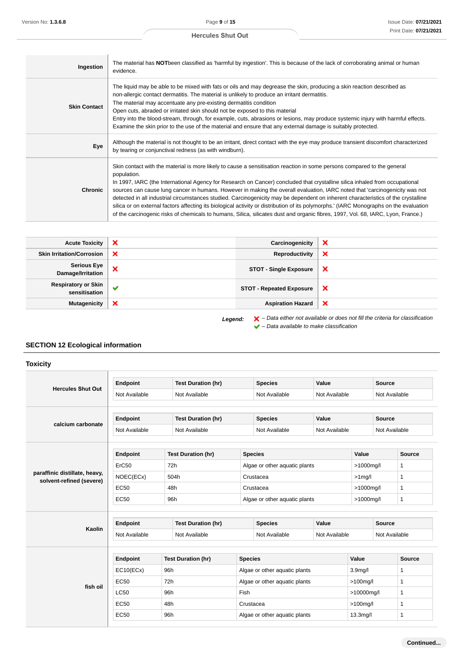| Ingestion           | The material has NOTbeen classified as 'harmful by ingestion'. This is because of the lack of corroborating animal or human<br>evidence.                                                                                                                                                                                                                                                                                                                                                                                                                                                                                                                                                                                                                                                                               |
|---------------------|------------------------------------------------------------------------------------------------------------------------------------------------------------------------------------------------------------------------------------------------------------------------------------------------------------------------------------------------------------------------------------------------------------------------------------------------------------------------------------------------------------------------------------------------------------------------------------------------------------------------------------------------------------------------------------------------------------------------------------------------------------------------------------------------------------------------|
| <b>Skin Contact</b> | The liquid may be able to be mixed with fats or oils and may degrease the skin, producing a skin reaction described as<br>non-allergic contact dermatitis. The material is unlikely to produce an irritant dermatitis.<br>The material may accentuate any pre-existing dermatitis condition<br>Open cuts, abraded or irritated skin should not be exposed to this material<br>Entry into the blood-stream, through, for example, cuts, abrasions or lesions, may produce systemic injury with harmful effects.<br>Examine the skin prior to the use of the material and ensure that any external damage is suitably protected.                                                                                                                                                                                         |
| Eye                 | Although the material is not thought to be an irritant, direct contact with the eye may produce transient discomfort characterized<br>by tearing or conjunctival redness (as with windburn).                                                                                                                                                                                                                                                                                                                                                                                                                                                                                                                                                                                                                           |
| <b>Chronic</b>      | Skin contact with the material is more likely to cause a sensitisation reaction in some persons compared to the general<br>population.<br>In 1997, IARC (the International Agency for Research on Cancer) concluded that crystalline silica inhaled from occupational<br>sources can cause lung cancer in humans. However in making the overall evaluation, IARC noted that 'carcinogenicity was not<br>detected in all industrial circumstances studied. Carcinogenicity may be dependent on inherent characteristics of the crystalline<br>silica or on external factors affecting its biological activity or distribution of its polymorphs. (IARC Monographs on the evaluation<br>of the carcinogenic risks of chemicals to humans, Silica, silicates dust and organic fibres, 1997, Vol. 68, IARC, Lyon, France.) |

| <b>Acute Toxicity</b>                                                                                         | × | Carcinogenicity                 | ×                         |
|---------------------------------------------------------------------------------------------------------------|---|---------------------------------|---------------------------|
| <b>Skin Irritation/Corrosion</b>                                                                              | × | Reproductivity                  | ×                         |
| <b>Serious Eye</b><br>Damage/Irritation                                                                       | × | <b>STOT - Single Exposure</b>   | ×                         |
| <b>Respiratory or Skin</b><br>sensitisation                                                                   | ✔ | <b>STOT - Repeated Exposure</b> | ×                         |
| <b>Mutagenicity</b>                                                                                           | × | <b>Aspiration Hazard</b>        | $\boldsymbol{\mathsf{x}}$ |
| $\blacktriangleright$ - Data either not available or does not fill the criteria for classification<br>Legend: |   |                                 |                           |

 $\blacktriangleright$  – Data available to make classification

# **SECTION 12 Ecological information**

**Toxicity**

|                                                           | <b>Endpoint</b> |                           | <b>Test Duration (hr)</b> |                                | <b>Species</b>                 | Value                 |                      | <b>Source</b> |              |
|-----------------------------------------------------------|-----------------|---------------------------|---------------------------|--------------------------------|--------------------------------|-----------------------|----------------------|---------------|--------------|
| <b>Hercules Shut Out</b>                                  | Not Available   |                           | Not Available             |                                | Not Available                  | Not Available         |                      | Not Available |              |
|                                                           | <b>Endpoint</b> | <b>Test Duration (hr)</b> |                           |                                | <b>Species</b>                 | Value                 |                      | <b>Source</b> |              |
| calcium carbonate                                         | Not Available   |                           | Not Available             |                                | Not Available<br>Not Available |                       |                      | Not Available |              |
|                                                           | <b>Endpoint</b> |                           | <b>Test Duration (hr)</b> |                                | <b>Species</b>                 |                       | Value                |               | Source       |
| paraffinic distillate, heavy,<br>solvent-refined (severe) | ErC50           | 72h                       |                           | Algae or other aquatic plants  |                                | >1000mg/l             |                      | $\mathbf{1}$  |              |
|                                                           | NOEC(ECx)       | 504h                      |                           | Crustacea                      |                                | $>1$ mg/l             |                      | $\mathbf{1}$  |              |
|                                                           | EC50            | 48h                       |                           | Crustacea                      |                                | >1000mg/l             |                      | $\mathbf{1}$  |              |
|                                                           | EC50            | 96h                       |                           | Algae or other aquatic plants  |                                | >1000mg/l             |                      | $\mathbf{1}$  |              |
|                                                           | <b>Endpoint</b> |                           | <b>Test Duration (hr)</b> |                                | <b>Species</b>                 | Value                 |                      | <b>Source</b> |              |
| Kaolin                                                    | Not Available   |                           | Not Available             | Not Available<br>Not Available |                                |                       | Not Available        |               |              |
|                                                           | <b>Endpoint</b> |                           | <b>Test Duration (hr)</b> | <b>Species</b>                 |                                |                       | Value                |               | Source       |
|                                                           | EC10(ECx)       | 96h                       |                           |                                | Algae or other aquatic plants  |                       | 3.9 <sub>mg</sub> /l |               | $\mathbf{1}$ |
|                                                           | EC50            | 72h                       |                           | Algae or other aquatic plants  |                                | $>100$ mg/l           |                      | $\mathbf{1}$  |              |
| fish oil                                                  | <b>LC50</b>     | 96h                       |                           | Fish                           |                                | >10000mg/l            |                      | $\mathbf{1}$  |              |
|                                                           | EC50            | 48h                       |                           | Crustacea                      |                                |                       | $>100$ mg/l          |               | $\mathbf{1}$ |
|                                                           | <b>EC50</b>     | 96h                       |                           | Algae or other aquatic plants  |                                | 13.3 <sub>mg</sub> /l |                      | $\mathbf{1}$  |              |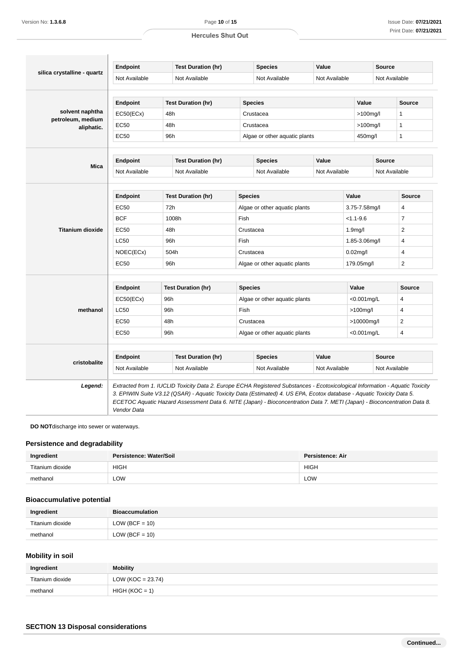|                                 | Endpoint                       |                           | <b>Test Duration (hr)</b>                                                                                                                                                                                                                                                                                                                                                           |                               | <b>Species</b>                | Value                |               | <b>Source</b>  |                |
|---------------------------------|--------------------------------|---------------------------|-------------------------------------------------------------------------------------------------------------------------------------------------------------------------------------------------------------------------------------------------------------------------------------------------------------------------------------------------------------------------------------|-------------------------------|-------------------------------|----------------------|---------------|----------------|----------------|
| silica crystalline - quartz     | Not Available<br>Not Available |                           | Not Available<br>Not Available                                                                                                                                                                                                                                                                                                                                                      |                               |                               | Not Available        |               |                |                |
|                                 | Endpoint                       |                           | <b>Test Duration (hr)</b>                                                                                                                                                                                                                                                                                                                                                           |                               | <b>Species</b>                |                      | Value         |                | <b>Source</b>  |
| solvent naphtha                 | EC50(ECx)                      | 48h                       |                                                                                                                                                                                                                                                                                                                                                                                     | Crustacea                     |                               |                      |               | $>100$ mg/l    |                |
| petroleum, medium<br>aliphatic. | <b>EC50</b>                    | 48h                       |                                                                                                                                                                                                                                                                                                                                                                                     | Crustacea                     |                               |                      |               | $>100$ mg/l    |                |
|                                 | <b>EC50</b>                    | 96h                       |                                                                                                                                                                                                                                                                                                                                                                                     |                               | Algae or other aquatic plants |                      | 450mg/l       |                | $\mathbf{1}$   |
|                                 | <b>Endpoint</b>                |                           | <b>Test Duration (hr)</b>                                                                                                                                                                                                                                                                                                                                                           |                               | <b>Species</b>                | Value                |               | <b>Source</b>  |                |
| Mica                            | Not Available                  |                           | Not Available                                                                                                                                                                                                                                                                                                                                                                       |                               | Not Available                 | Not Available        |               | Not Available  |                |
|                                 |                                |                           |                                                                                                                                                                                                                                                                                                                                                                                     |                               |                               |                      |               |                |                |
|                                 | Endpoint                       |                           | <b>Test Duration (hr)</b>                                                                                                                                                                                                                                                                                                                                                           | <b>Species</b>                |                               |                      | Value         |                | <b>Source</b>  |
|                                 | <b>EC50</b>                    | 72h                       |                                                                                                                                                                                                                                                                                                                                                                                     | Algae or other aquatic plants |                               |                      | 3.75-7.58mg/l |                | 4              |
|                                 | <b>BCF</b>                     | 1008h                     |                                                                                                                                                                                                                                                                                                                                                                                     | Fish                          |                               | $< 1.1 - 9.6$        |               | $\overline{7}$ |                |
| <b>Titanium dioxide</b>         | <b>EC50</b>                    | 48h                       |                                                                                                                                                                                                                                                                                                                                                                                     | Crustacea                     |                               | 1.9 <sub>mq</sub> /l |               | $\overline{2}$ |                |
|                                 | <b>LC50</b>                    | 96h                       |                                                                                                                                                                                                                                                                                                                                                                                     | Fish                          |                               |                      | 1.85-3.06mg/l |                | 4              |
|                                 | NOEC(ECx)                      |                           | 504h                                                                                                                                                                                                                                                                                                                                                                                | Crustacea                     |                               |                      | $0.02$ mg/l   |                | $\overline{4}$ |
|                                 | EC50                           | 96h                       |                                                                                                                                                                                                                                                                                                                                                                                     | Algae or other aguatic plants |                               | 179.05mg/l           |               | 2              |                |
|                                 | <b>Endpoint</b>                |                           | <b>Test Duration (hr)</b>                                                                                                                                                                                                                                                                                                                                                           | <b>Species</b>                |                               |                      | Value         |                | <b>Source</b>  |
|                                 | EC50(ECx)                      | 96h                       |                                                                                                                                                                                                                                                                                                                                                                                     | Algae or other aquatic plants |                               | $< 0.001$ mg/L       |               | 4              |                |
| methanol                        | <b>LC50</b>                    | 96h                       |                                                                                                                                                                                                                                                                                                                                                                                     | Fish                          |                               | $>100$ mg/l          |               | 4              |                |
|                                 | <b>EC50</b>                    | 48h                       |                                                                                                                                                                                                                                                                                                                                                                                     | Crustacea                     |                               | >10000mg/l           |               | 2              |                |
|                                 | EC50                           | 96h                       |                                                                                                                                                                                                                                                                                                                                                                                     | Algae or other aquatic plants |                               | 4<br>$< 0.001$ mg/L  |               |                |                |
|                                 |                                |                           |                                                                                                                                                                                                                                                                                                                                                                                     |                               |                               |                      |               |                |                |
| cristobalite                    | <b>Endpoint</b>                | <b>Test Duration (hr)</b> |                                                                                                                                                                                                                                                                                                                                                                                     | Value<br><b>Species</b>       |                               | <b>Source</b>        |               |                |                |
|                                 | Not Available                  |                           | Not Available                                                                                                                                                                                                                                                                                                                                                                       |                               | Not Available                 | Not Available        |               | Not Available  |                |
| Legend:                         | Vendor Data                    |                           | Extracted from 1. IUCLID Toxicity Data 2. Europe ECHA Registered Substances - Ecotoxicological Information - Aquatic Toxicity<br>3. EPIWIN Suite V3.12 (QSAR) - Aquatic Toxicity Data (Estimated) 4. US EPA, Ecotox database - Aquatic Toxicity Data 5.<br>ECETOC Aquatic Hazard Assessment Data 6. NITE (Japan) - Bioconcentration Data 7. METI (Japan) - Bioconcentration Data 8. |                               |                               |                      |               |                |                |

**DO NOT**discharge into sewer or waterways.

#### **Persistence and degradability**

| Ingredient       | Persistence: Water/Soil | Persistence: Air |
|------------------|-------------------------|------------------|
| Titanium dioxide | <b>HIGH</b>             | <b>HIGH</b>      |
| methanol         | ∟OW                     | LOW              |

# **Bioaccumulative potential**

| Ingredient       | <b>Bioaccumulation</b> |
|------------------|------------------------|
| Titanium dioxide | $LOW (BCF = 10)$       |
| methanol         | $LOW (BCF = 10)$       |

# **Mobility in soil**

| Ingredient       | Mobility              |
|------------------|-----------------------|
| Titanium dioxide | LOW ( $KOC = 23.74$ ) |
| methanol         | $HIGH (KOC = 1)$      |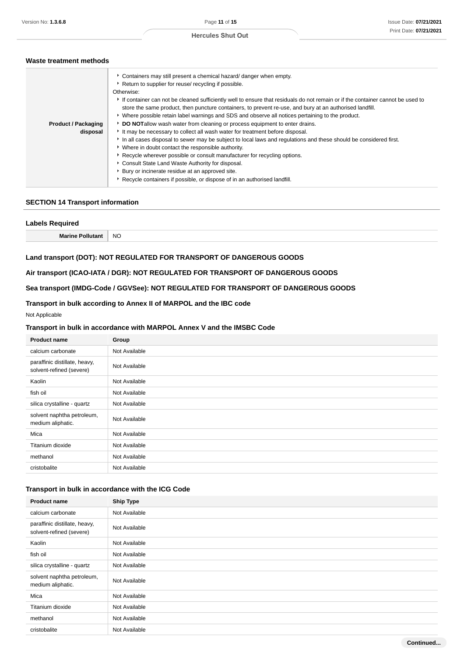# **Waste treatment methods**

|                            | • Containers may still present a chemical hazard/ danger when empty.<br>Return to supplier for reuse/ recycling if possible.<br>Otherwise:                                                                                                 |
|----------------------------|--------------------------------------------------------------------------------------------------------------------------------------------------------------------------------------------------------------------------------------------|
|                            | If container can not be cleaned sufficiently well to ensure that residuals do not remain or if the container cannot be used to<br>store the same product, then puncture containers, to prevent re-use, and bury at an authorised landfill. |
|                            | • Where possible retain label warnings and SDS and observe all notices pertaining to the product.                                                                                                                                          |
| <b>Product / Packaging</b> | DO NOTallow wash water from cleaning or process equipment to enter drains.                                                                                                                                                                 |
| disposal                   | It may be necessary to collect all wash water for treatment before disposal.                                                                                                                                                               |
|                            | In all cases disposal to sewer may be subject to local laws and regulations and these should be considered first.                                                                                                                          |
|                            | • Where in doubt contact the responsible authority.                                                                                                                                                                                        |
|                            | ► Recycle wherever possible or consult manufacturer for recycling options.                                                                                                                                                                 |
|                            | Consult State Land Waste Authority for disposal.                                                                                                                                                                                           |
|                            | Bury or incinerate residue at an approved site.                                                                                                                                                                                            |
|                            | Recycle containers if possible, or dispose of in an authorised landfill.                                                                                                                                                                   |
|                            |                                                                                                                                                                                                                                            |

#### **SECTION 14 Transport information**

# **Labels Required**

**Marine Pollutant** NO

#### **Land transport (DOT): NOT REGULATED FOR TRANSPORT OF DANGEROUS GOODS**

#### **Air transport (ICAO-IATA / DGR): NOT REGULATED FOR TRANSPORT OF DANGEROUS GOODS**

# **Sea transport (IMDG-Code / GGVSee): NOT REGULATED FOR TRANSPORT OF DANGEROUS GOODS**

# **Transport in bulk according to Annex II of MARPOL and the IBC code**

#### Not Applicable

#### **Transport in bulk in accordance with MARPOL Annex V and the IMSBC Code**

| <b>Product name</b>                                       | Group         |
|-----------------------------------------------------------|---------------|
| calcium carbonate                                         | Not Available |
| paraffinic distillate, heavy,<br>solvent-refined (severe) | Not Available |
| Kaolin                                                    | Not Available |
| fish oil                                                  | Not Available |
| silica crystalline - quartz                               | Not Available |
| solvent naphtha petroleum,<br>medium aliphatic.           | Not Available |
| Mica                                                      | Not Available |
| Titanium dioxide                                          | Not Available |
| methanol                                                  | Not Available |
| cristobalite                                              | Not Available |

# **Transport in bulk in accordance with the ICG Code**

| <b>Product name</b>                                       | <b>Ship Type</b> |
|-----------------------------------------------------------|------------------|
| calcium carbonate                                         | Not Available    |
| paraffinic distillate, heavy,<br>solvent-refined (severe) | Not Available    |
| Kaolin                                                    | Not Available    |
| fish oil                                                  | Not Available    |
| silica crystalline - quartz                               | Not Available    |
| solvent naphtha petroleum,<br>medium aliphatic.           | Not Available    |
| Mica                                                      | Not Available    |
| Titanium dioxide                                          | Not Available    |
| methanol                                                  | Not Available    |
| cristobalite                                              | Not Available    |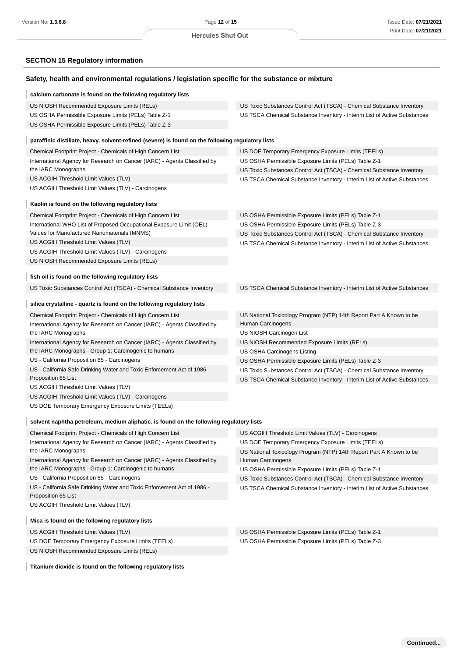# **SECTION 15 Regulatory information**

| Safety, health and environmental regulations / legislation specific for the substance or mixture                                   |                                                                          |
|------------------------------------------------------------------------------------------------------------------------------------|--------------------------------------------------------------------------|
| calcium carbonate is found on the following regulatory lists                                                                       |                                                                          |
| US NIOSH Recommended Exposure Limits (RELs)                                                                                        | US Toxic Substances Control Act (TSCA) - Chemical Substance Inventory    |
| US OSHA Permissible Exposure Limits (PELs) Table Z-1                                                                               | US TSCA Chemical Substance Inventory - Interim List of Active Substances |
| US OSHA Permissible Exposure Limits (PELs) Table Z-3                                                                               |                                                                          |
| paraffinic distillate, heavy, solvent-refined (severe) is found on the following regulatory lists                                  |                                                                          |
| Chemical Footprint Project - Chemicals of High Concern List                                                                        | US DOE Temporary Emergency Exposure Limits (TEELs)                       |
| International Agency for Research on Cancer (IARC) - Agents Classified by                                                          | US OSHA Permissible Exposure Limits (PELs) Table Z-1                     |
| the IARC Monographs                                                                                                                | US Toxic Substances Control Act (TSCA) - Chemical Substance Inventory    |
| US ACGIH Threshold Limit Values (TLV)                                                                                              | US TSCA Chemical Substance Inventory - Interim List of Active Substances |
| US ACGIH Threshold Limit Values (TLV) - Carcinogens                                                                                |                                                                          |
| Kaolin is found on the following regulatory lists                                                                                  |                                                                          |
| Chemical Footprint Project - Chemicals of High Concern List                                                                        | US OSHA Permissible Exposure Limits (PELs) Table Z-1                     |
| International WHO List of Proposed Occupational Exposure Limit (OEL)                                                               | US OSHA Permissible Exposure Limits (PELs) Table Z-3                     |
| Values for Manufactured Nanomaterials (MNMS)                                                                                       | US Toxic Substances Control Act (TSCA) - Chemical Substance Inventory    |
| US ACGIH Threshold Limit Values (TLV)                                                                                              | US TSCA Chemical Substance Inventory - Interim List of Active Substances |
| US ACGIH Threshold Limit Values (TLV) - Carcinogens                                                                                |                                                                          |
| US NIOSH Recommended Exposure Limits (RELs)                                                                                        |                                                                          |
| fish oil is found on the following regulatory lists                                                                                |                                                                          |
| US Toxic Substances Control Act (TSCA) - Chemical Substance Inventory                                                              | US TSCA Chemical Substance Inventory - Interim List of Active Substances |
| silica crystalline - quartz is found on the following regulatory lists                                                             |                                                                          |
| Chemical Footprint Project - Chemicals of High Concern List                                                                        | US National Toxicology Program (NTP) 14th Report Part A Known to be      |
| International Agency for Research on Cancer (IARC) - Agents Classified by                                                          | Human Carcinogens                                                        |
| the IARC Monographs                                                                                                                | US NIOSH Carcinogen List                                                 |
| International Agency for Research on Cancer (IARC) - Agents Classified by                                                          | US NIOSH Recommended Exposure Limits (RELs)                              |
| the IARC Monographs - Group 1: Carcinogenic to humans                                                                              | US OSHA Carcinogens Listing                                              |
| US - California Proposition 65 - Carcinogens                                                                                       | US OSHA Permissible Exposure Limits (PELs) Table Z-3                     |
| US - California Safe Drinking Water and Toxic Enforcement Act of 1986 -                                                            | US Toxic Substances Control Act (TSCA) - Chemical Substance Inventory    |
| Proposition 65 List                                                                                                                | US TSCA Chemical Substance Inventory - Interim List of Active Substances |
| US ACGIH Threshold Limit Values (TLV)                                                                                              |                                                                          |
| US ACGIH Threshold Limit Values (TLV) - Carcinogens<br>US DOE Temporary Emergency Exposure Limits (TEELs)                          |                                                                          |
|                                                                                                                                    |                                                                          |
| solvent naphtha petroleum, medium aliphatic. is found on the following regulatory lists                                            |                                                                          |
| Chemical Footprint Project - Chemicals of High Concern List                                                                        | US ACGIH Threshold Limit Values (TLV) - Carcinogens                      |
| International Agency for Research on Cancer (IARC) - Agents Classified by                                                          | US DOE Temporary Emergency Exposure Limits (TEELs)                       |
| the IARC Monographs                                                                                                                | US National Toxicology Program (NTP) 14th Report Part A Known to be      |
| International Agency for Research on Cancer (IARC) - Agents Classified by<br>the IARC Monographs - Group 1: Carcinogenic to humans | Human Carcinogens                                                        |
|                                                                                                                                    | US OSHA Permissible Exposure Limits (PELs) Table Z-1                     |
| US - California Proposition 65 - Carcinogens<br>US - California Safe Drinking Water and Toxic Enforcement Act of 1986 -            | US Toxic Substances Control Act (TSCA) - Chemical Substance Inventory    |
| Proposition 65 List                                                                                                                | US TSCA Chemical Substance Inventory - Interim List of Active Substances |
| US ACGIH Threshold Limit Values (TLV)                                                                                              |                                                                          |
| Mica is found on the following regulatory lists                                                                                    |                                                                          |
| US ACGIH Threshold Limit Values (TLV)                                                                                              | US OSHA Permissible Exposure Limits (PELs) Table Z-1                     |
| US DOE Temporary Emergency Exposure Limits (TEELs)                                                                                 | US OSHA Permissible Exposure Limits (PELs) Table Z-3                     |
| US NIOSH Recommended Exposure Limits (RELs)                                                                                        |                                                                          |

**Titanium dioxide is found on the following regulatory lists**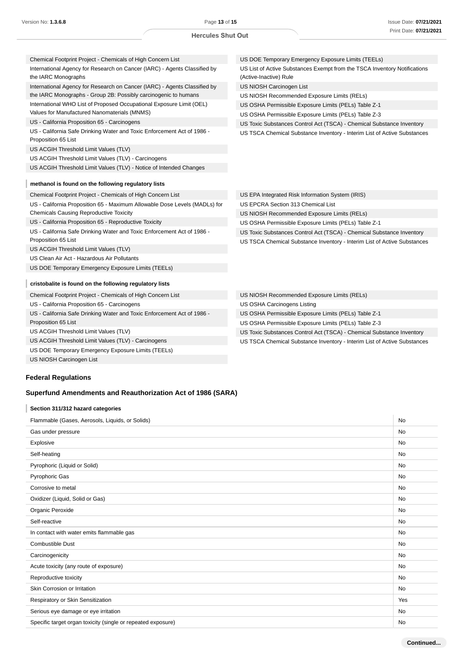| Chemical Footprint Project - Chemicals of High Concern List                                      | US DOE Temporary Emergency Exposure Limits (TEELs)                                                  |
|--------------------------------------------------------------------------------------------------|-----------------------------------------------------------------------------------------------------|
| International Agency for Research on Cancer (IARC) - Agents Classified by<br>the IARC Monographs | US List of Active Substances Exempt from the TSCA Inventory Notifications<br>(Active-Inactive) Rule |
| International Agency for Research on Cancer (IARC) - Agents Classified by                        | US NIOSH Carcinogen List                                                                            |
| the IARC Monographs - Group 2B: Possibly carcinogenic to humans                                  | US NIOSH Recommended Exposure Limits (RELs)                                                         |
| International WHO List of Proposed Occupational Exposure Limit (OEL)                             | US OSHA Permissible Exposure Limits (PELs) Table Z-1                                                |
| Values for Manufactured Nanomaterials (MNMS)                                                     | US OSHA Permissible Exposure Limits (PELs) Table Z-3                                                |
| US - California Proposition 65 - Carcinogens                                                     | US Toxic Substances Control Act (TSCA) - Chemical Substance Inventory                               |
| US - California Safe Drinking Water and Toxic Enforcement Act of 1986 -<br>Proposition 65 List   | US TSCA Chemical Substance Inventory - Interim List of Active Substances                            |
| US ACGIH Threshold Limit Values (TLV)                                                            |                                                                                                     |
| US ACGIH Threshold Limit Values (TLV) - Carcinogens                                              |                                                                                                     |
| US ACGIH Threshold Limit Values (TLV) - Notice of Intended Changes                               |                                                                                                     |
|                                                                                                  |                                                                                                     |
| methanol is found on the following regulatory lists                                              |                                                                                                     |
| Chemical Footprint Project - Chemicals of High Concern List                                      | US EPA Integrated Risk Information System (IRIS)                                                    |
| US - California Proposition 65 - Maximum Allowable Dose Levels (MADLs) for                       | US EPCRA Section 313 Chemical List                                                                  |
| <b>Chemicals Causing Reproductive Toxicity</b>                                                   | US NIOSH Recommended Exposure Limits (RELs)                                                         |
| US - California Proposition 65 - Reproductive Toxicity                                           | US OSHA Permissible Exposure Limits (PELs) Table Z-1                                                |
| US - California Safe Drinking Water and Toxic Enforcement Act of 1986 -                          | US Toxic Substances Control Act (TSCA) - Chemical Substance Inventory                               |
| Proposition 65 List                                                                              | US TSCA Chemical Substance Inventory - Interim List of Active Substances                            |
| US ACGIH Threshold Limit Values (TLV)                                                            |                                                                                                     |
| US Clean Air Act - Hazardous Air Pollutants                                                      |                                                                                                     |
| US DOE Temporary Emergency Exposure Limits (TEELs)                                               |                                                                                                     |
| cristobalite is found on the following regulatory lists                                          |                                                                                                     |
| Chemical Footprint Project - Chemicals of High Concern List                                      | US NIOSH Recommended Exposure Limits (RELs)                                                         |
| US - California Proposition 65 - Carcinogens                                                     | US OSHA Carcinogens Listing                                                                         |
| US - California Safe Drinking Water and Toxic Enforcement Act of 1986 -                          | US OSHA Permissible Exposure Limits (PELs) Table Z-1                                                |
| Proposition 65 List                                                                              | US OSHA Permissible Exposure Limits (PELs) Table Z-3                                                |
| US ACGIH Threshold Limit Values (TLV)                                                            | US Toxic Substances Control Act (TSCA) - Chemical Substance Inventory                               |
| US ACGIH Threshold Limit Values (TLV) - Carcinogens                                              | US TSCA Chemical Substance Inventory - Interim List of Active Substances                            |

US TSCA Chemical Substance Inventory - Interim List of Active Substances

# US NIOSH Carcinogen List

# **Federal Regulations**

US DOE Temporary Emergency Exposure Limits (TEELs)

# **Superfund Amendments and Reauthorization Act of 1986 (SARA)**

#### **Section 311/312 hazard categories**

| Flammable (Gases, Aerosols, Liquids, or Solids)              | No        |
|--------------------------------------------------------------|-----------|
| Gas under pressure                                           | No        |
| Explosive                                                    | No        |
| Self-heating                                                 | No        |
| Pyrophoric (Liquid or Solid)                                 | <b>No</b> |
| <b>Pyrophoric Gas</b>                                        | No        |
| Corrosive to metal                                           | No        |
| Oxidizer (Liquid, Solid or Gas)                              | <b>No</b> |
| Organic Peroxide                                             | No        |
| Self-reactive                                                | <b>No</b> |
| In contact with water emits flammable gas                    | No        |
| <b>Combustible Dust</b>                                      | <b>No</b> |
| Carcinogenicity                                              | <b>No</b> |
| Acute toxicity (any route of exposure)                       | No        |
| Reproductive toxicity                                        | <b>No</b> |
| Skin Corrosion or Irritation                                 | <b>No</b> |
| Respiratory or Skin Sensitization                            | Yes       |
| Serious eye damage or eye irritation                         | No        |
| Specific target organ toxicity (single or repeated exposure) | <b>No</b> |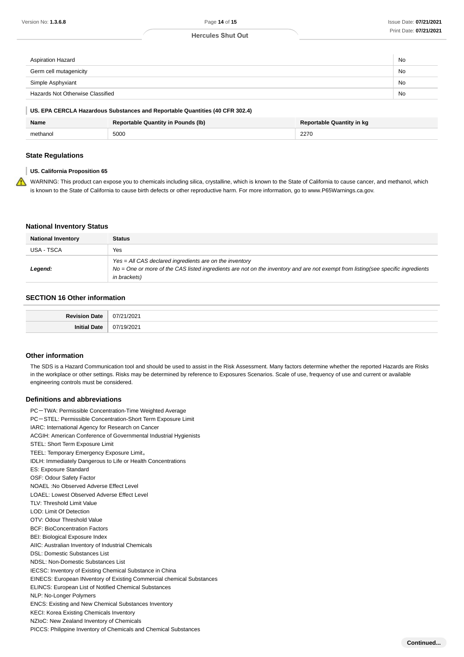| Aspiration Hazard                | No |
|----------------------------------|----|
| Germ cell mutagenicity           | No |
| Simple Asphyxiant                | No |
| Hazards Not Otherwise Classified | No |

#### **US. EPA CERCLA Hazardous Substances and Reportable Quantities (40 CFR 302.4)**

| <b>Name</b> | <b>Reportable Quantity in Pounds (Ib)</b> | <b>Reportable Quantity in kg</b> |
|-------------|-------------------------------------------|----------------------------------|
| methanol    | 5000                                      | 2270                             |

#### **State Regulations**

#### **US. California Proposition 65**

WARNING: This product can expose you to chemicals including silica, crystalline, which is known to the State of California to cause cancer, and methanol, which is known to the State of California to cause birth defects or other reproductive harm. For more information, go to www.P65Warnings.ca.gov.

#### **National Inventory Status**

| <b>National Inventory</b> | <b>Status</b>                                                                                                                                                                                                    |
|---------------------------|------------------------------------------------------------------------------------------------------------------------------------------------------------------------------------------------------------------|
| USA - TSCA                | Yes                                                                                                                                                                                                              |
| Legend:                   | $Yes = All CAS$ declared ingredients are on the inventory<br>$No = One$ or more of the CAS listed ingredients are not on the inventory and are not exempt from listing (see specific ingredients<br>in brackets) |

#### **SECTION 16 Other information**

| <b>Doviejo</b><br>Date | nnn.                 |
|------------------------|----------------------|
| ה+פר<br><br>,,,,,      | $\sim$<br>$\sqrt{2}$ |

#### **Other information**

The SDS is a Hazard Communication tool and should be used to assist in the Risk Assessment. Many factors determine whether the reported Hazards are Risks in the workplace or other settings. Risks may be determined by reference to Exposures Scenarios. Scale of use, frequency of use and current or available engineering controls must be considered.

#### **Definitions and abbreviations**

PC-TWA: Permissible Concentration-Time Weighted Average PC-STEL: Permissible Concentration-Short Term Exposure Limit IARC: International Agency for Research on Cancer ACGIH: American Conference of Governmental Industrial Hygienists STEL: Short Term Exposure Limit TEEL: Temporary Emergency Exposure Limit。 IDLH: Immediately Dangerous to Life or Health Concentrations ES: Exposure Standard OSF: Odour Safety Factor NOAEL :No Observed Adverse Effect Level LOAEL: Lowest Observed Adverse Effect Level TLV: Threshold Limit Value LOD: Limit Of Detection OTV: Odour Threshold Value BCF: BioConcentration Factors BEI: Biological Exposure Index AIIC: Australian Inventory of Industrial Chemicals DSL: Domestic Substances List NDSL: Non-Domestic Substances List IECSC: Inventory of Existing Chemical Substance in China EINECS: European INventory of Existing Commercial chemical Substances ELINCS: European List of Notified Chemical Substances NLP: No-Longer Polymers ENCS: Existing and New Chemical Substances Inventory KECI: Korea Existing Chemicals Inventory NZIoC: New Zealand Inventory of Chemicals PICCS: Philippine Inventory of Chemicals and Chemical Substances